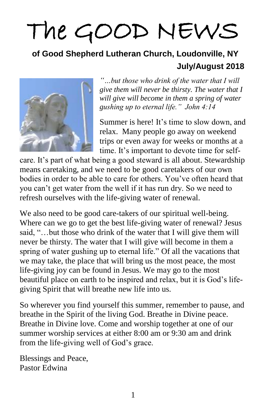# The GOOD NEWS

#### **of Good Shepherd Lutheran Church, Loudonville, NY July/August 2018**



*"…but those who drink of the water that I will give them will never be thirsty. The water that I will give will become in them a spring of water gushing up to eternal life." John 4:14*

Summer is here! It's time to slow down, and relax. Many people go away on weekend trips or even away for weeks or months at a time. It's important to devote time for self-

care. It's part of what being a good steward is all about. Stewardship means caretaking, and we need to be good caretakers of our own bodies in order to be able to care for others. You've often heard that you can't get water from the well if it has run dry. So we need to refresh ourselves with the life-giving water of renewal.

We also need to be good care-takers of our spiritual well-being. Where can we go to get the best life-giving water of renewal? Jesus said, "…but those who drink of the water that I will give them will never be thirsty. The water that I will give will become in them a spring of water gushing up to eternal life." Of all the vacations that we may take, the place that will bring us the most peace, the most life-giving joy can be found in Jesus. We may go to the most beautiful place on earth to be inspired and relax, but it is God's lifegiving Spirit that will breathe new life into us.

So wherever you find yourself this summer, remember to pause, and breathe in the Spirit of the living God. Breathe in Divine peace. Breathe in Divine love. Come and worship together at one of our summer worship services at either 8:00 am or 9:30 am and drink from the life-giving well of God's grace.

Blessings and Peace, Pastor Edwina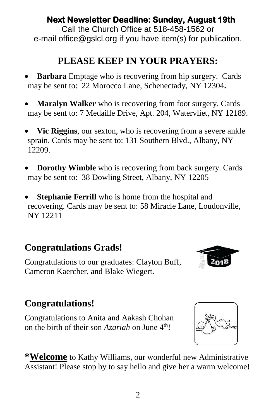**Next Newsletter Deadline: Sunday, August 19th**  Call the Church Office at 518-458-1562 or e-mail office@gslcl.org if you have item(s) for publication.

# **PLEASE KEEP IN YOUR PRAYERS:**

- **Barbara** Emptage who is recovering from hip surgery. Cards may be sent to: 22 Morocco Lane, Schenectady, NY 12304**.**
- **Maralyn Walker** who is recovering from foot surgery. Cards may be sent to: 7 Medaille Drive, Apt. 204, Watervliet, NY 12189.
- **Vic Riggins**, our sexton, who is recovering from a severe ankle sprain. Cards may be sent to: 131 Southern Blvd., Albany, NY 12209.
- **Dorothy Wimble** who is recovering from back surgery. Cards may be sent to: 38 Dowling Street, Albany, NY 12205
- **Stephanie Ferrill** who is home from the hospital and recovering. Cards may be sent to: 58 Miracle Lane, Loudonville, NY 12211

## **Congratulations Grads!**

Congratulations to our graduates: Clayton Buff, Cameron Kaercher, and Blake Wiegert.

## **Congratulations!**

Congratulations to Anita and Aakash Chohan on the birth of their son *Azariah* on June 4<sup>th</sup>!

**\*Welcome** to Kathy Williams, our wonderful new Administrative Assistant! Please stop by to say hello and give her a warm welcome**!**



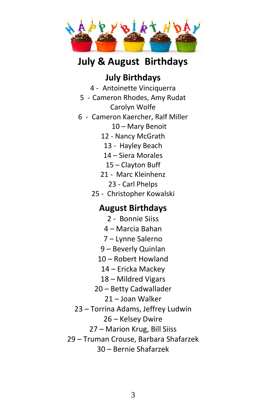

## **July & August Birthdays**

#### **July Birthdays**

4 - Antoinette Vinciquerra

- 5 Cameron Rhodes, Amy Rudat Carolyn Wolfe
- 6 Cameron Kaercher, Ralf Miller
	- 10 Mary Benoit
	- 12 Nancy McGrath
	- 13 Hayley Beach
	- 14 Siera Morales
	- 15 Clayton Buff
	- 21 Marc Kleinhenz
		- 23 Carl Phelps
	- 25 Christopher Kowalski

#### **August Birthdays**

- 2 Bonnie Siiss
- 4 Marcia Bahan
- 7 Lynne Salerno
- 9 Beverly Quinlan
- 10 Robert Howland
	- 14 Ericka Mackey
- 18 Mildred Vigars
- 20 Betty Cadwallader
	- 21 Joan Walker
- 23 Torrina Adams, Jeffrey Ludwin
	- 26 Kelsey Dwire
	- 27 Marion Krug, Bill Siiss
- 29 Truman Crouse, Barbara Shafarzek

30 – Bernie Shafarzek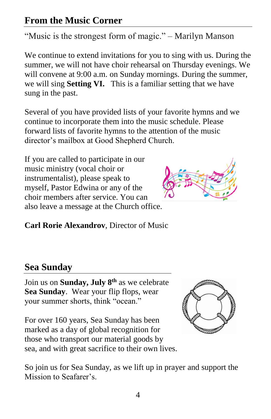#### **From the Music Corner**

"Music is the strongest form of magic." – Marilyn Manson

We continue to extend invitations for you to sing with us. During the summer, we will not have choir rehearsal on Thursday evenings. We will convene at 9:00 a.m. on Sunday mornings. During the summer, we will sing **Setting VI.** This is a familiar setting that we have sung in the past.

Several of you have provided lists of your favorite hymns and we continue to incorporate them into the music schedule. Please forward lists of favorite hymns to the attention of the music director's mailbox at Good Shepherd Church.

If you are called to participate in our music ministry (vocal choir or instrumentalist), please speak to myself, Pastor Edwina or any of the choir members after service. You can also leave a message at the Church office.



**Carl Rorie Alexandrov**, Director of Music

#### **Sea Sunday**

Join us on **Sunday, July 8th** as we celebrate **Sea Sunday**. Wear your flip flops, wear your summer shorts, think "ocean."

For over 160 years, Sea Sunday has been marked as a day of global recognition for those who transport our material goods by sea, and with great sacrifice to their own lives.



So join us for Sea Sunday, as we lift up in prayer and support the Mission to Seafarer's.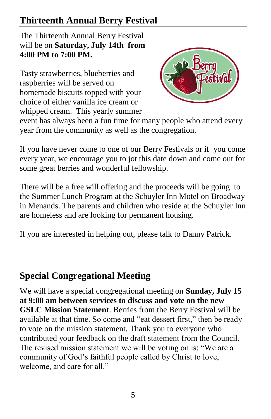## **Thirteenth Annual Berry Festival**

The Thirteenth Annual Berry Festival will be on **Saturday, July 14th from 4:00 PM to 7:00 PM.**

Tasty strawberries, blueberries and raspberries will be served on homemade biscuits topped with your choice of either vanilla ice cream or whipped cream. This yearly summer



event has always been a fun time for many people who attend every year from the community as well as the congregation.

If you have never come to one of our Berry Festivals or if you come every year, we encourage you to jot this date down and come out for some great berries and wonderful fellowship.

There will be a free will offering and the proceeds will be going to the Summer Lunch Program at the Schuyler Inn Motel on Broadway in Menands. The parents and children who reside at the Schuyler Inn are homeless and are looking for permanent housing.

If you are interested in helping out, please talk to Danny Patrick.

#### **Special Congregational Meeting**

We will have a special congregational meeting on **Sunday, July 15 at 9:00 am between services to discuss and vote on the new GSLC Mission Statement**. Berries from the Berry Festival will be available at that time. So come and "eat dessert first," then be ready to vote on the mission statement. Thank you to everyone who contributed your feedback on the draft statement from the Council. The revised mission statement we will be voting on is: "We are a community of God's faithful people called by Christ to love, welcome, and care for all."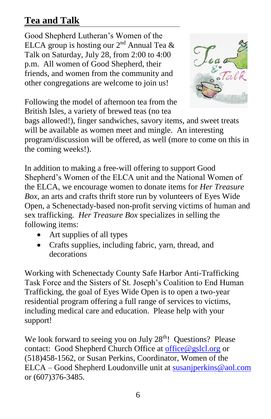## **Tea and Talk**

Good Shepherd Lutheran's Women of the ELCA group is hosting our  $2<sup>nd</sup>$  Annual Tea & Talk on Saturday, July 28, from 2:00 to 4:00 p.m. All women of Good Shepherd, their friends, and women from the community and other congregations are welcome to join us!



Following the model of afternoon tea from the British Isles, a variety of brewed teas (no tea

bags allowed!), finger sandwiches, savory items, and sweet treats will be available as women meet and mingle. An interesting program/discussion will be offered, as well (more to come on this in the coming weeks!).

In addition to making a free-will offering to support Good Shepherd's Women of the ELCA unit and the National Women of the ELCA, we encourage women to donate items for *Her Treasure Box,* an arts and crafts thrift store run by volunteers of Eyes Wide Open, a Schenectady-based non-profit serving victims of human and sex trafficking. *Her Treasure Box* specializes in selling the following items:

- Art supplies of all types
- Crafts supplies, including fabric, yarn, thread, and decorations

Working with Schenectady County Safe Harbor Anti-Trafficking Task Force and the Sisters of St. Joseph's Coalition to End Human Trafficking, the goal of Eyes Wide Open is to open a two-year residential program offering a full range of services to victims, including medical care and education. Please help with your support!

We look forward to seeing you on July  $28<sup>th</sup>$ ! Questions? Please contact: Good Shepherd Church Office at [office@gslcl.org](mailto:office@gslcl.org) or (518)458-1562, or Susan Perkins, Coordinator, Women of the ELCA – Good Shepherd Loudonville unit at [susanjperkins@aol.com](mailto:susanjperkins@aol.com) or (607)376-3485.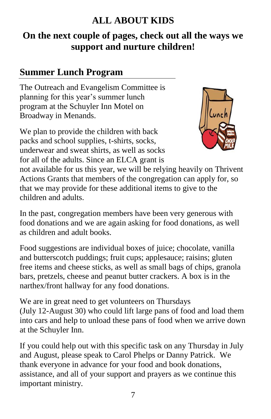#### **ALL ABOUT KIDS**

#### **On the next couple of pages, check out all the ways we support and nurture children!**

#### **Summer Lunch Program**

The Outreach and Evangelism Committee is planning for this year's summer lunch program at the Schuyler Inn Motel on Broadway in Menands.

We plan to provide the children with back packs and school supplies, t-shirts, socks, underwear and sweat shirts, as well as socks for all of the adults. Since an ELCA grant is



not available for us this year, we will be relying heavily on Thrivent Actions Grants that members of the congregation can apply for, so that we may provide for these additional items to give to the children and adults.

In the past, congregation members have been very generous with food donations and we are again asking for food donations, as well as children and adult books.

Food suggestions are individual boxes of juice; chocolate, vanilla and butterscotch puddings; fruit cups; applesauce; raisins; gluten free items and cheese sticks, as well as small bags of chips, granola bars, pretzels, cheese and peanut butter crackers. A box is in the narthex/front hallway for any food donations.

We are in great need to get volunteers on Thursdays (July 12-August 30) who could lift large pans of food and load them into cars and help to unload these pans of food when we arrive down at the Schuyler Inn.

If you could help out with this specific task on any Thursday in July and August, please speak to Carol Phelps or Danny Patrick. We thank everyone in advance for your food and book donations, assistance, and all of your support and prayers as we continue this important ministry.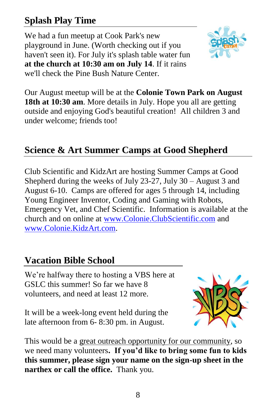## **Splash Play Time**

We had a fun meetup at Cook Park's new playground in June. (Worth checking out if you haven't seen it). For July it's splash table water fun **at the church at 10:30 am on July 14**. If it rains we'll check the Pine Bush Nature Center.



Our August meetup will be at the **Colonie Town Park on August 18th at 10:30 am**. More details in July. Hope you all are getting outside and enjoying God's beautiful creation! All children 3 and under welcome; friends too!

#### **Science & Art Summer Camps at Good Shepherd**

Club Scientific and KidzArt are hosting Summer Camps at Good Shepherd during the weeks of July 23-27, July 30 – August 3 and August 6-10. Camps are offered for ages 5 through 14, including Young Engineer Inventor, Coding and Gaming with Robots, Emergency Vet, and Chef Scientific. Information is available at the church and on online at [www.Colonie.ClubScientific.com](http://www.colonie.clubscientific.com/) and [www.Colonie.KidzArt.com.](http://www.colonie.kidzart.com/)

#### **Vacation Bible School**

We're halfway there to hosting a VBS here at GSLC this summer! So far we have 8 volunteers, and need at least 12 more.

It will be a week-long event held during the late afternoon from 6- 8:30 pm. in August.



This would be a great outreach opportunity for our community, so we need many volunteers**. If you'd like to bring some fun to kids this summer, please sign your name on the sign-up sheet in the narthex or call the office.** Thank you.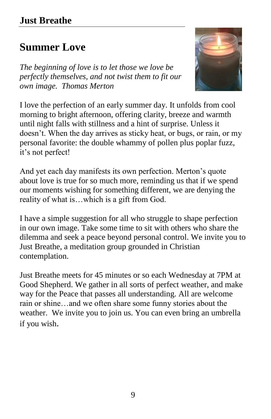#### **Just Breathe**

## **Summer Love**

*The beginning of love is to let those we love be perfectly themselves, and not twist them to fit our own image. Thomas Merton*



I love the perfection of an early summer day. It unfolds from cool morning to bright afternoon, offering clarity, breeze and warmth until night falls with stillness and a hint of surprise. Unless it doesn't. When the day arrives as sticky heat, or bugs, or rain, or my personal favorite: the double whammy of pollen plus poplar fuzz, it's not perfect!

And yet each day manifests its own perfection. Merton's quote about love is true for so much more, reminding us that if we spend our moments wishing for something different, we are denying the reality of what is…which is a gift from God.

I have a simple suggestion for all who struggle to shape perfection in our own image. Take some time to sit with others who share the dilemma and seek a peace beyond personal control. We invite you to Just Breathe, a meditation group grounded in Christian contemplation.

Just Breathe meets for 45 minutes or so each Wednesday at 7PM at Good Shepherd. We gather in all sorts of perfect weather, and make way for the Peace that passes all understanding. All are welcome rain or shine…and we often share some funny stories about the weather. We invite you to join us. You can even bring an umbrella if you wish.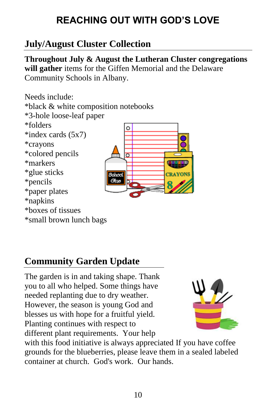# **REACHING OUT WITH GOD'S LOVE**

## **July/August Cluster Collection**

**Throughout July & August the Lutheran Cluster congregations will gather** items for the Giffen Memorial and the Delaware Community Schools in Albany.



# **Community Garden Update**

The garden is in and taking shape. Thank you to all who helped. Some things have needed replanting due to dry weather. However, the season is young God and blesses us with hope for a fruitful yield. Planting continues with respect to different plant requirements. Your help



with this food initiative is always appreciated If you have coffee grounds for the blueberries, please leave them in a sealed labeled container at church. God's work. Our hands.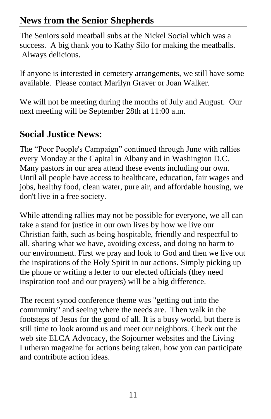#### **News from the Senior Shepherds**

The Seniors sold meatball subs at the Nickel Social which was a success. A big thank you to Kathy Silo for making the meatballs. Always delicious.

If anyone is interested in cemetery arrangements, we still have some available. Please contact Marilyn Graver or Joan Walker.

We will not be meeting during the months of July and August. Our next meeting will be September 28th at 11:00 a.m.

#### **Social Justice News:**

The "Poor People's Campaign" continued through June with rallies every Monday at the Capital in Albany and in Washington D.C. Many pastors in our area attend these events including our own. Until all people have access to healthcare, education, fair wages and jobs, healthy food, clean water, pure air, and affordable housing, we don't live in a free society.

While attending rallies may not be possible for everyone, we all can take a stand for justice in our own lives by how we live our Christian faith, such as being hospitable, friendly and respectful to all, sharing what we have, avoiding excess, and doing no harm to our environment. First we pray and look to God and then we live out the inspirations of the Holy Spirit in our actions. Simply picking up the phone or writing a letter to our elected officials (they need inspiration too! and our prayers) will be a big difference.

The recent synod conference theme was "getting out into the community" and seeing where the needs are. Then walk in the footsteps of Jesus for the good of all. It is a busy world, but there is still time to look around us and meet our neighbors. Check out the web site ELCA Advocacy, the Sojourner websites and the Living Lutheran magazine for actions being taken, how you can participate and contribute action ideas.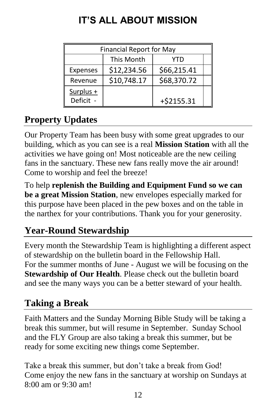| <b>Financial Report for May</b> |             |              |  |
|---------------------------------|-------------|--------------|--|
|                                 | This Month  | YTD          |  |
| <b>Expenses</b>                 | \$12,234.56 | \$66,215.41  |  |
| Revenue                         | \$10,748.17 | \$68,370.72  |  |
| Surplus +<br>Deficit -          |             | $+ $2155.31$ |  |

# **IT'S ALL ABOUT MISSION**

# **Property Updates**

Our Property Team has been busy with some great upgrades to our building, which as you can see is a real **Mission Station** with all the activities we have going on! Most noticeable are the new ceiling fans in the sanctuary. These new fans really move the air around! Come to worship and feel the breeze!

To help **replenish the Building and Equipment Fund so we can be a great Mission Station**, new envelopes especially marked for this purpose have been placed in the pew boxes and on the table in the narthex for your contributions. Thank you for your generosity.

# **Year-Round Stewardship**

Every month the Stewardship Team is highlighting a different aspect of stewardship on the bulletin board in the Fellowship Hall. For the summer months of June - August we will be focusing on the **Stewardship of Our Health**. Please check out the bulletin board and see the many ways you can be a better steward of your health.

## **Taking a Break**

Faith Matters and the Sunday Morning Bible Study will be taking a break this summer, but will resume in September. Sunday School and the FLY Group are also taking a break this summer, but be ready for some exciting new things come September.

Take a break this summer, but don't take a break from God! Come enjoy the new fans in the sanctuary at worship on Sundays at 8:00 am or 9:30 am!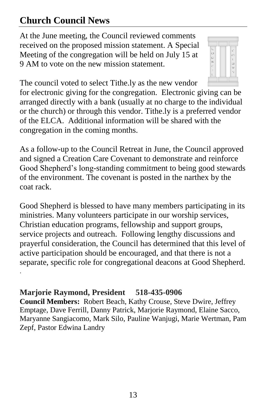## **Church Council News**

At the June meeting, the Council reviewed comments received on the proposed mission statement. A Special Meeting of the congregation will be held on July 15 at 9 AM to vote on the new mission statement.



The council voted to select Tithe.ly as the new vendor

for electronic giving for the congregation. Electronic giving can be arranged directly with a bank (usually at no charge to the individual or the church) or through this vendor. Tithe.ly is a preferred vendor of the ELCA. Additional information will be shared with the congregation in the coming months.

As a follow-up to the Council Retreat in June, the Council approved and signed a Creation Care Covenant to demonstrate and reinforce Good Shepherd's long-standing commitment to being good stewards of the environment. The covenant is posted in the narthex by the coat rack.

Good Shepherd is blessed to have many members participating in its ministries. Many volunteers participate in our worship services, Christian education programs, fellowship and support groups, service projects and outreach. Following lengthy discussions and prayerful consideration, the Council has determined that this level of active participation should be encouraged, and that there is not a separate, specific role for congregational deacons at Good Shepherd. .

#### **Marjorie Raymond, President 518-435-0906**

**Council Members:** Robert Beach, Kathy Crouse, Steve Dwire, Jeffrey Emptage, Dave Ferrill, Danny Patrick, Marjorie Raymond, Elaine Sacco, Maryanne Sangiacomo, Mark Silo, Pauline Wanjugi, Marie Wertman, Pam Zepf, Pastor Edwina Landry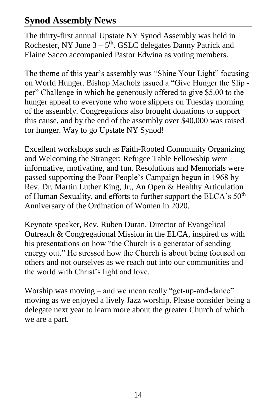#### **Synod Assembly News**

The thirty-first annual Upstate NY Synod Assembly was held in Rochester, NY June  $3 - 5$ <sup>th</sup>. GSLC delegates Danny Patrick and Elaine Sacco accompanied Pastor Edwina as voting members.

The theme of this year's assembly was "Shine Your Light" focusing on World Hunger. Bishop Macholz issued a "Give Hunger the Slip per" Challenge in which he generously offered to give \$5.00 to the hunger appeal to everyone who wore slippers on Tuesday morning of the assembly. Congregations also brought donations to support this cause, and by the end of the assembly over \$40,000 was raised for hunger. Way to go Upstate NY Synod!

Excellent workshops such as Faith-Rooted Community Organizing and Welcoming the Stranger: Refugee Table Fellowship were informative, motivating, and fun. Resolutions and Memorials were passed supporting the Poor People's Campaign begun in 1968 by Rev. Dr. Martin Luther King, Jr., An Open & Healthy Articulation of Human Sexuality, and efforts to further support the ELCA's 50<sup>th</sup> Anniversary of the Ordination of Women in 2020.

Keynote speaker, Rev. Ruben Duran, Director of Evangelical Outreach & Congregational Mission in the ELCA, inspired us with his presentations on how "the Church is a generator of sending energy out." He stressed how the Church is about being focused on others and not ourselves as we reach out into our communities and the world with Christ's light and love.

Worship was moving – and we mean really "get-up-and-dance" moving as we enjoyed a lively Jazz worship. Please consider being a delegate next year to learn more about the greater Church of which we are a part.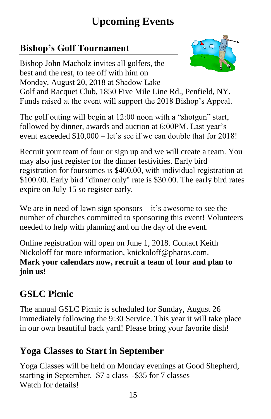# **Upcoming Events**

## **Bishop's Golf Tournament**



Bishop John Macholz invites all golfers, the best and the rest, to tee off with him on Monday, August 20, 2018 at Shadow Lake Golf and Racquet Club, 1850 Five Mile Line Rd., Penfield, NY. Funds raised at the event will support the 2018 Bishop's Appeal.

The golf outing will begin at 12:00 noon with a "shotgun" start, followed by dinner, awards and auction at 6:00PM. Last year's event exceeded \$10,000 – let's see if we can double that for 2018!

Recruit your team of four or sign up and we will create a team. You may also just register for the dinner festivities. Early bird registration for foursomes is \$400.00, with individual registration at \$100.00. Early bird "dinner only" rate is \$30.00. The early bird rates expire on July 15 so register early.

We are in need of lawn sign sponsors  $-$  it's awesome to see the number of churches committed to sponsoring this event! Volunteers needed to help with planning and on the day of the event.

[Online registration](https://www.eservicepayments.com/cgi-bin/Vanco_ver3.vps?appver3=wWsk24ZWJSTZKsGd1RMKlg0BDvsSG3VIWQCPJNNxD8upkiY7JlDavDsozUE7KG0nFx2NSo8LdUKGuGuF396vbS_KfCYqXg6CWYxOIJ2fkzKXHubq5Z7ap5JVmPErc4ZeYHCKCZhESjGNQmZ5B-6dx2Hk0Nvim_eQif8ZsTlGNP8=&ver=3) will open on June 1, 2018. Contact Keith Nickoloff for more information, [knickoloff@pharos.com.](mailto:knickoloff@pharos.com) **Mark your calendars now, recruit a team of four and plan to join us!**

# **GSLC Picnic**

The annual GSLC Picnic is scheduled for Sunday, August 26 immediately following the 9:30 Service. This year it will take place in our own beautiful back yard! Please bring your favorite dish!

## **Yoga Classes to Start in September**

Yoga Classes will be held on Monday evenings at Good Shepherd, starting in September. \$7 a class -\$35 for 7 classes Watch for details!